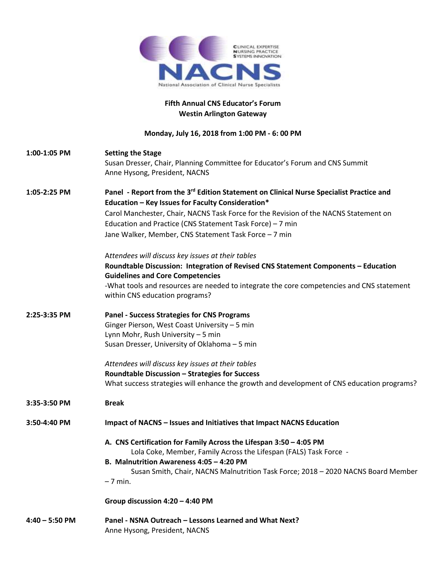

## **Fifth Annual CNS Educator's Forum Westin Arlington Gateway**

## **Monday, July 16, 2018 from 1:00 PM - 6: 00 PM**

| 1:00-1:05 PM     | <b>Setting the Stage</b><br>Susan Dresser, Chair, Planning Committee for Educator's Forum and CNS Summit                      |
|------------------|-------------------------------------------------------------------------------------------------------------------------------|
|                  | Anne Hysong, President, NACNS                                                                                                 |
| 1:05-2:25 PM     | Panel - Report from the 3 <sup>rd</sup> Edition Statement on Clinical Nurse Specialist Practice and                           |
|                  | Education - Key Issues for Faculty Consideration*                                                                             |
|                  | Carol Manchester, Chair, NACNS Task Force for the Revision of the NACNS Statement on                                          |
|                  | Education and Practice (CNS Statement Task Force) - 7 min                                                                     |
|                  | Jane Walker, Member, CNS Statement Task Force - 7 min                                                                         |
|                  | Attendees will discuss key issues at their tables                                                                             |
|                  | Roundtable Discussion: Integration of Revised CNS Statement Components - Education<br><b>Guidelines and Core Competencies</b> |
|                  | -What tools and resources are needed to integrate the core competencies and CNS statement                                     |
|                  | within CNS education programs?                                                                                                |
| 2:25-3:35 PM     | <b>Panel - Success Strategies for CNS Programs</b>                                                                            |
|                  | Ginger Pierson, West Coast University - 5 min                                                                                 |
|                  | Lynn Mohr, Rush University - 5 min                                                                                            |
|                  | Susan Dresser, University of Oklahoma - 5 min                                                                                 |
|                  | Attendees will discuss key issues at their tables                                                                             |
|                  | Roundtable Discussion - Strategies for Success                                                                                |
|                  | What success strategies will enhance the growth and development of CNS education programs?                                    |
| 3:35-3:50 PM     | <b>Break</b>                                                                                                                  |
| 3:50-4:40 PM     | Impact of NACNS - Issues and Initiatives that Impact NACNS Education                                                          |
|                  | A. CNS Certification for Family Across the Lifespan 3:50 - 4:05 PM                                                            |
|                  | Lola Coke, Member, Family Across the Lifespan (FALS) Task Force -                                                             |
|                  | B. Malnutrition Awareness 4:05 - 4:20 PM                                                                                      |
|                  | Susan Smith, Chair, NACNS Malnutrition Task Force; 2018 - 2020 NACNS Board Member<br>$-7$ min.                                |
|                  | Group discussion 4:20 - 4:40 PM                                                                                               |
| $4:40 - 5:50$ PM | Panel - NSNA Outreach - Lessons Learned and What Next?                                                                        |
|                  | Anne Hysong, President, NACNS                                                                                                 |